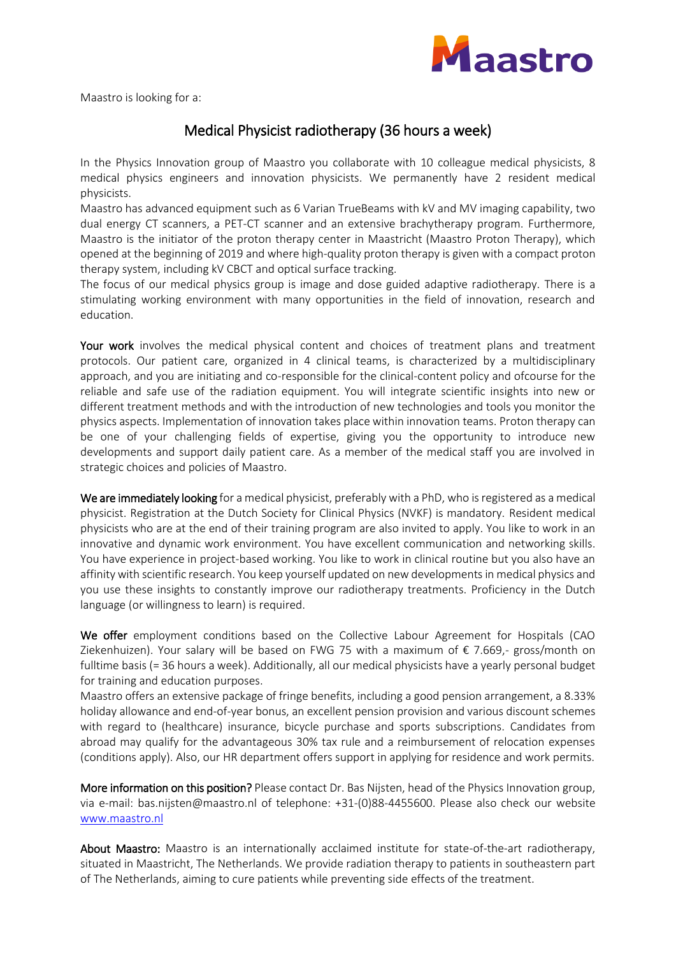

Maastro is looking for a:

## Medical Physicist radiotherapy (36 hours a week)

In the Physics Innovation group of Maastro you collaborate with 10 colleague medical physicists, 8 medical physics engineers and innovation physicists. We permanently have 2 resident medical physicists.

Maastro has advanced equipment such as 6 Varian TrueBeams with kV and MV imaging capability, two dual energy CT scanners, a PET-CT scanner and an extensive brachytherapy program. Furthermore, Maastro is the initiator of the proton therapy center in Maastricht (Maastro Proton Therapy), which opened at the beginning of 2019 and where high-quality proton therapy is given with a compact proton therapy system, including kV CBCT and optical surface tracking.

The focus of our medical physics group is image and dose guided adaptive radiotherapy. There is a stimulating working environment with many opportunities in the field of innovation, research and education.

Your work involves the medical physical content and choices of treatment plans and treatment protocols. Our patient care, organized in 4 clinical teams, is characterized by a multidisciplinary approach, and you are initiating and co-responsible for the clinical-content policy and ofcourse for the reliable and safe use of the radiation equipment. You will integrate scientific insights into new or different treatment methods and with the introduction of new technologies and tools you monitor the physics aspects. Implementation of innovation takes place within innovation teams. Proton therapy can be one of your challenging fields of expertise, giving you the opportunity to introduce new developments and support daily patient care. As a member of the medical staff you are involved in strategic choices and policies of Maastro.

We are immediately looking for a medical physicist, preferably with a PhD, who is registered as a medical physicist. Registration at the Dutch Society for Clinical Physics (NVKF) is mandatory. Resident medical physicists who are at the end of their training program are also invited to apply. You like to work in an innovative and dynamic work environment. You have excellent communication and networking skills. You have experience in project-based working. You like to work in clinical routine but you also have an affinity with scientific research. You keep yourself updated on new developments in medical physics and you use these insights to constantly improve our radiotherapy treatments. Proficiency in the Dutch language (or willingness to learn) is required.

We offer employment conditions based on the Collective Labour Agreement for Hospitals (CAO Ziekenhuizen). Your salary will be based on FWG 75 with a maximum of  $\epsilon$  7.669,- gross/month on fulltime basis (= 36 hours a week). Additionally, all our medical physicists have a yearly personal budget for training and education purposes.

Maastro offers an extensive package of fringe benefits, including a good pension arrangement, a 8.33% holiday allowance and end-of-year bonus, an excellent pension provision and various discount schemes with regard to (healthcare) insurance, bicycle purchase and sports subscriptions. Candidates from abroad may qualify for the advantageous 30% tax rule and a reimbursement of relocation expenses (conditions apply). Also, our HR department offers support in applying for residence and work permits.

More information on this position? Please contact Dr. Bas Nijsten, head of the Physics Innovation group, via e-mail: [bas.nijsten@maastro.nl](mailto:bas.nijsten@maastro.nl) of telephone: +31-(0)88-4455600. Please also check our website [www.maastro.nl](http://www.maastro.nl/)

About Maastro: Maastro is an internationally acclaimed institute for state-of-the-art radiotherapy, situated in Maastricht, The Netherlands. We provide radiation therapy to patients in southeastern part of The Netherlands, aiming to cure patients while preventing side effects of the treatment.